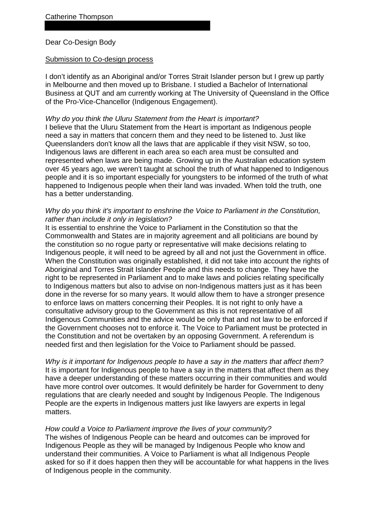# Dear Co-Design Body

### Submission to Co-design process

I don't identify as an Aboriginal and/or Torres Strait Islander person but I grew up partly in Melbourne and then moved up to Brisbane. I studied a Bachelor of International Business at QUT and am currently working at The University of Queensland in the Office of the Pro-Vice-Chancellor (Indigenous Engagement).

## *Why do you think the Uluru Statement from the Heart is important?*

I believe that the Uluru Statement from the Heart is important as Indigenous people need a say in matters that concern them and they need to be listened to. Just like Queenslanders don't know all the laws that are applicable if they visit NSW, so too, Indigenous laws are different in each area so each area must be consulted and represented when laws are being made. Growing up in the Australian education system over 45 years ago, we weren't taught at school the truth of what happened to Indigenous people and it is so important especially for youngsters to be informed of the truth of what happened to Indigenous people when their land was invaded. When told the truth, one has a better understanding.

# *Why do you think it's important to enshrine the Voice to Parliament in the Constitution, rather than include it only in legislation?*

It is essential to enshrine the Voice to Parliament in the Constitution so that the Commonwealth and States are in majority agreement and all politicians are bound by the constitution so no rogue party or representative will make decisions relating to Indigenous people, it will need to be agreed by all and not just the Government in office. When the Constitution was originally established, it did not take into account the rights of Aboriginal and Torres Strait Islander People and this needs to change. They have the right to be represented in Parliament and to make laws and policies relating specifically to Indigenous matters but also to advise on non-Indigenous matters just as it has been done in the reverse for so many years. It would allow them to have a stronger presence to enforce laws on matters concerning their Peoples. It is not right to only have a consultative advisory group to the Government as this is not representative of all Indigenous Communities and the advice would be only that and not law to be enforced if the Government chooses not to enforce it. The Voice to Parliament must be protected in the Constitution and not be overtaken by an opposing Government. A referendum is needed first and then legislation for the Voice to Parliament should be passed.

*Why is it important for Indigenous people to have a say in the matters that affect them?* It is important for Indigenous people to have a say in the matters that affect them as they have a deeper understanding of these matters occurring in their communities and would have more control over outcomes. It would definitely be harder for Government to deny regulations that are clearly needed and sought by Indigenous People. The Indigenous People are the experts in Indigenous matters just like lawyers are experts in legal matters.

## *How could a Voice to Parliament improve the lives of your community?*

The wishes of Indigenous People can be heard and outcomes can be improved for Indigenous People as they will be managed by Indigenous People who know and understand their communities. A Voice to Parliament is what all Indigenous People asked for so if it does happen then they will be accountable for what happens in the lives of Indigenous people in the community.